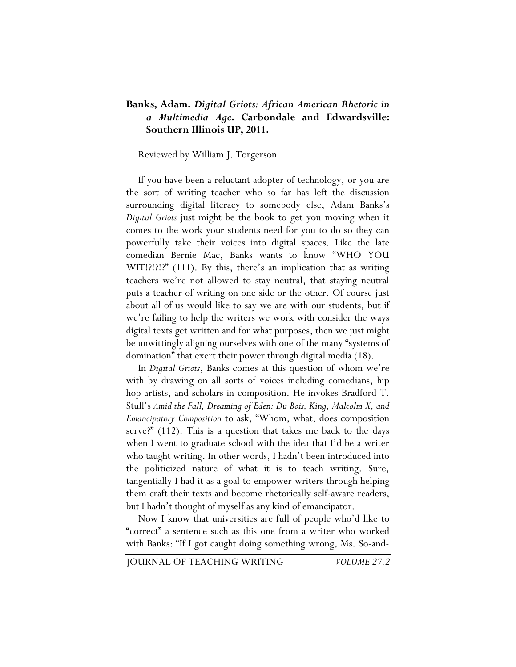## **Banks, Adam.** *Digital Griots: African American Rhetoric in a Multimedia Age***. Carbondale and Edwardsville: Southern Illinois UP, 2011.**

## Reviewed by William J. Torgerson

If you have been a reluctant adopter of technology, or you are the sort of writing teacher who so far has left the discussion surrounding digital literacy to somebody else, Adam Banks's *Digital Griots* just might be the book to get you moving when it comes to the work your students need for you to do so they can powerfully take their voices into digital spaces. Like the late comedian Bernie Mac, Banks wants to know "WHO YOU WIT!?!?!?" (111). By this, there's an implication that as writing teachers we're not allowed to stay neutral, that staying neutral puts a teacher of writing on one side or the other. Of course just about all of us would like to say we are with our students, but if we're failing to help the writers we work with consider the ways digital texts get written and for what purposes, then we just might be unwittingly aligning ourselves with one of the many "systems of domination" that exert their power through digital media (18).

In *Digital Griots*, Banks comes at this question of whom we're with by drawing on all sorts of voices including comedians, hip hop artists, and scholars in composition. He invokes Bradford T. Stull's *Amid the Fall, Dreaming of Eden: Du Bois, King, Malcolm X, and Emancipatory Composition* to ask, "Whom, what, does composition serve?" (112). This is a question that takes me back to the days when I went to graduate school with the idea that I'd be a writer who taught writing. In other words, I hadn't been introduced into the politicized nature of what it is to teach writing. Sure, tangentially I had it as a goal to empower writers through helping them craft their texts and become rhetorically self-aware readers, but I hadn't thought of myself as any kind of emancipator.

Now I know that universities are full of people who'd like to "correct" a sentence such as this one from a writer who worked with Banks: "If I got caught doing something wrong, Ms. So-and-

JOURNAL OF TEACHING WRITING *VOLUME 27.2*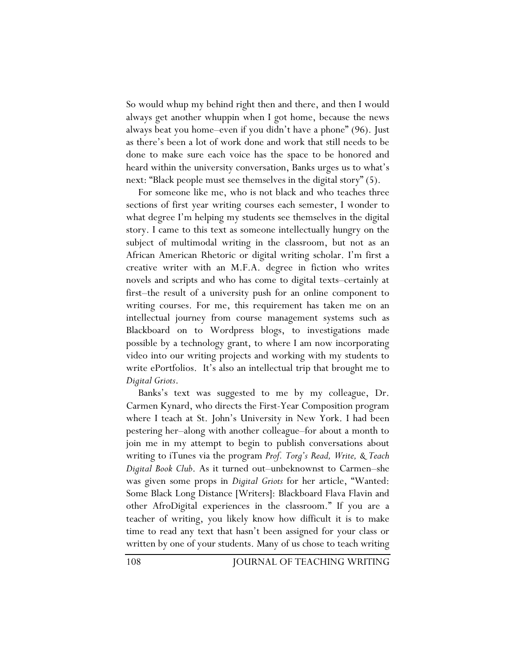So would whup my behind right then and there, and then I would always get another whuppin when I got home, because the news always beat you home–even if you didn't have a phone" (96). Just as there's been a lot of work done and work that still needs to be done to make sure each voice has the space to be honored and heard within the university conversation, Banks urges us to what's next: "Black people must see themselves in the digital story" (5).

For someone like me, who is not black and who teaches three sections of first year writing courses each semester, I wonder to what degree I'm helping my students see themselves in the digital story. I came to this text as someone intellectually hungry on the subject of multimodal writing in the classroom, but not as an African American Rhetoric or digital writing scholar. I'm first a creative writer with an M.F.A. degree in fiction who writes novels and scripts and who has come to digital texts–certainly at first–the result of a university push for an online component to writing courses. For me, this requirement has taken me on an intellectual journey from course management systems such as Blackboard on to Wordpress blogs, to investigations made possible by a technology grant, to where I am now incorporating video into our writing projects and working with my students to write ePortfolios. It's also an intellectual trip that brought me to *Digital Griots*.

Banks's text was suggested to me by my colleague, Dr. Carmen Kynard, who directs the First-Year Composition program where I teach at St. John's University in New York. I had been pestering her–along with another colleague–for about a month to join me in my attempt to begin to publish conversations about writing to iTunes via the program *Prof. Torg's Read, Write, & Teach Digital Book Club*. As it turned out–unbeknownst to Carmen–she was given some props in *Digital Griots* for her article, "Wanted: Some Black Long Distance [Writers]: Blackboard Flava Flavin and other AfroDigital experiences in the classroom." If you are a teacher of writing, you likely know how difficult it is to make time to read any text that hasn't been assigned for your class or written by one of your students. Many of us chose to teach writing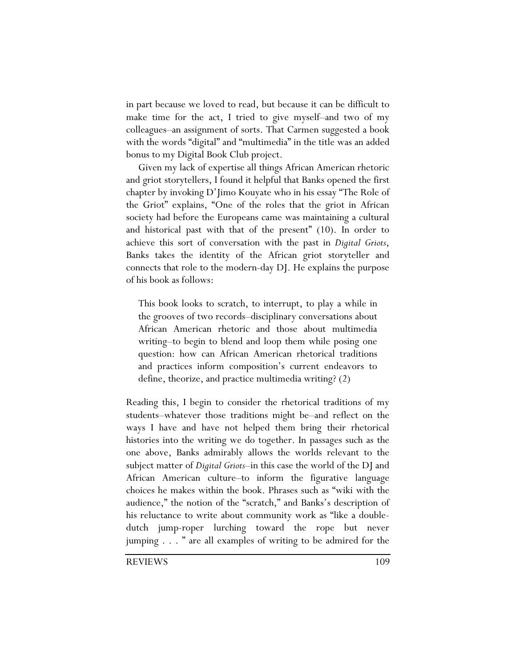in part because we loved to read, but because it can be difficult to make time for the act, I tried to give myself–and two of my colleagues–an assignment of sorts. That Carmen suggested a book with the words "digital" and "multimedia" in the title was an added bonus to my Digital Book Club project.

Given my lack of expertise all things African American rhetoric and griot storytellers, I found it helpful that Banks opened the first chapter by invoking D'Jimo Kouyate who in his essay "The Role of the Griot" explains, "One of the roles that the griot in African society had before the Europeans came was maintaining a cultural and historical past with that of the present" (10). In order to achieve this sort of conversation with the past in *Digital Griots*, Banks takes the identity of the African griot storyteller and connects that role to the modern-day DJ. He explains the purpose of his book as follows:

This book looks to scratch, to interrupt, to play a while in the grooves of two records–disciplinary conversations about African American rhetoric and those about multimedia writing–to begin to blend and loop them while posing one question: how can African American rhetorical traditions and practices inform composition's current endeavors to define, theorize, and practice multimedia writing? (2)

Reading this, I begin to consider the rhetorical traditions of my students–whatever those traditions might be–and reflect on the ways I have and have not helped them bring their rhetorical histories into the writing we do together. In passages such as the one above, Banks admirably allows the worlds relevant to the subject matter of *Digital Griots*–in this case the world of the DJ and African American culture–to inform the figurative language choices he makes within the book. Phrases such as "wiki with the audience," the notion of the "scratch," and Banks's description of his reluctance to write about community work as "like a doubledutch jump-roper lurching toward the rope but never jumping . . . " are all examples of writing to be admired for the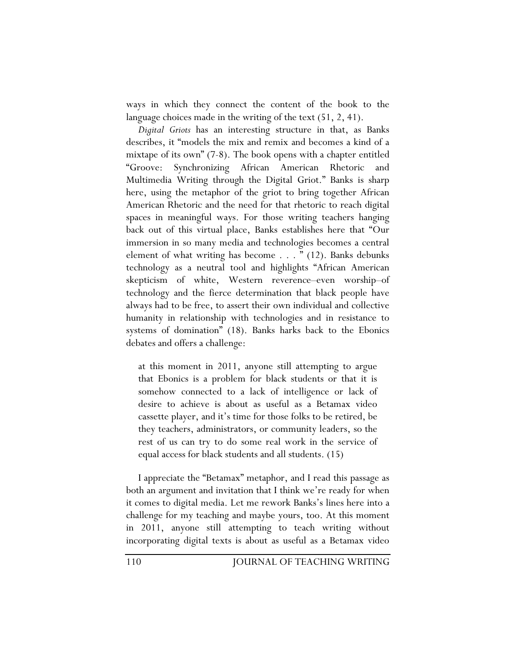ways in which they connect the content of the book to the language choices made in the writing of the text (51, 2, 41).

*Digital Griots* has an interesting structure in that, as Banks describes, it "models the mix and remix and becomes a kind of a mixtape of its own" (7-8). The book opens with a chapter entitled "Groove: Synchronizing African American Rhetoric and Multimedia Writing through the Digital Griot." Banks is sharp here, using the metaphor of the griot to bring together African American Rhetoric and the need for that rhetoric to reach digital spaces in meaningful ways. For those writing teachers hanging back out of this virtual place, Banks establishes here that "Our immersion in so many media and technologies becomes a central element of what writing has become . . . " (12). Banks debunks technology as a neutral tool and highlights "African American skepticism of white, Western reverence–even worship–of technology and the fierce determination that black people have always had to be free, to assert their own individual and collective humanity in relationship with technologies and in resistance to systems of domination" (18). Banks harks back to the Ebonics debates and offers a challenge:

at this moment in 2011, anyone still attempting to argue that Ebonics is a problem for black students or that it is somehow connected to a lack of intelligence or lack of desire to achieve is about as useful as a Betamax video cassette player, and it's time for those folks to be retired, be they teachers, administrators, or community leaders, so the rest of us can try to do some real work in the service of equal access for black students and all students. (15)

I appreciate the "Betamax" metaphor, and I read this passage as both an argument and invitation that I think we're ready for when it comes to digital media. Let me rework Banks's lines here into a challenge for my teaching and maybe yours, too. At this moment in 2011, anyone still attempting to teach writing without incorporating digital texts is about as useful as a Betamax video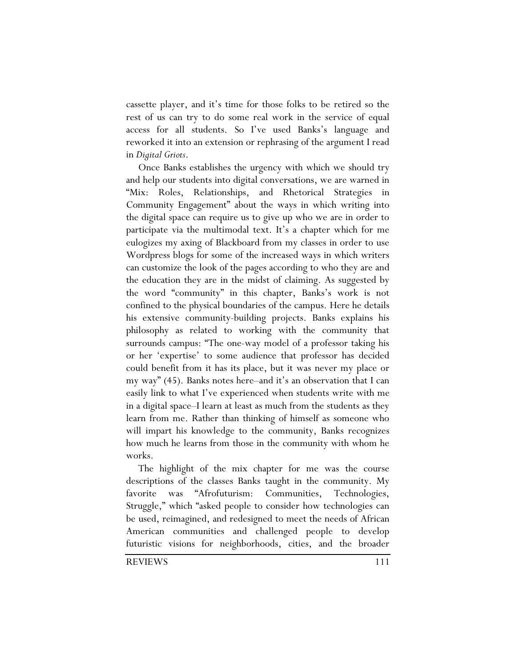cassette player, and it's time for those folks to be retired so the rest of us can try to do some real work in the service of equal access for all students. So I've used Banks's language and reworked it into an extension or rephrasing of the argument I read in *Digital Griots*.

Once Banks establishes the urgency with which we should try and help our students into digital conversations, we are warned in "Mix: Roles, Relationships, and Rhetorical Strategies in Community Engagement" about the ways in which writing into the digital space can require us to give up who we are in order to participate via the multimodal text. It's a chapter which for me eulogizes my axing of Blackboard from my classes in order to use Wordpress blogs for some of the increased ways in which writers can customize the look of the pages according to who they are and the education they are in the midst of claiming. As suggested by the word "community" in this chapter, Banks's work is not confined to the physical boundaries of the campus. Here he details his extensive community-building projects. Banks explains his philosophy as related to working with the community that surrounds campus: "The one-way model of a professor taking his or her 'expertise' to some audience that professor has decided could benefit from it has its place, but it was never my place or my way" (45). Banks notes here–and it's an observation that I can easily link to what I've experienced when students write with me in a digital space–I learn at least as much from the students as they learn from me. Rather than thinking of himself as someone who will impart his knowledge to the community, Banks recognizes how much he learns from those in the community with whom he works.

The highlight of the mix chapter for me was the course descriptions of the classes Banks taught in the community. My favorite was "Afrofuturism: Communities, Technologies, Struggle," which "asked people to consider how technologies can be used, reimagined, and redesigned to meet the needs of African American communities and challenged people to develop futuristic visions for neighborhoods, cities, and the broader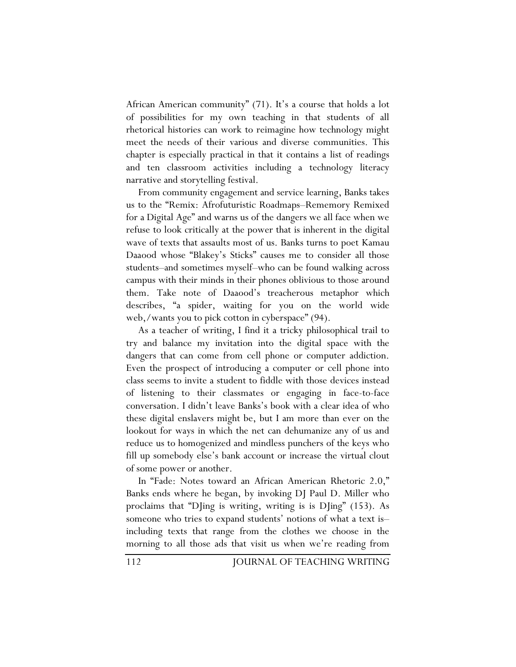African American community" (71). It's a course that holds a lot of possibilities for my own teaching in that students of all rhetorical histories can work to reimagine how technology might meet the needs of their various and diverse communities. This chapter is especially practical in that it contains a list of readings and ten classroom activities including a technology literacy narrative and storytelling festival.

From community engagement and service learning, Banks takes us to the "Remix: Afrofuturistic Roadmaps–Rememory Remixed for a Digital Age" and warns us of the dangers we all face when we refuse to look critically at the power that is inherent in the digital wave of texts that assaults most of us. Banks turns to poet Kamau Daaood whose "Blakey's Sticks" causes me to consider all those students–and sometimes myself–who can be found walking across campus with their minds in their phones oblivious to those around them. Take note of Daaood's treacherous metaphor which describes, "a spider, waiting for you on the world wide web,/wants you to pick cotton in cyberspace" (94).

As a teacher of writing, I find it a tricky philosophical trail to try and balance my invitation into the digital space with the dangers that can come from cell phone or computer addiction. Even the prospect of introducing a computer or cell phone into class seems to invite a student to fiddle with those devices instead of listening to their classmates or engaging in face-to-face conversation. I didn't leave Banks's book with a clear idea of who these digital enslavers might be, but I am more than ever on the lookout for ways in which the net can dehumanize any of us and reduce us to homogenized and mindless punchers of the keys who fill up somebody else's bank account or increase the virtual clout of some power or another.

In "Fade: Notes toward an African American Rhetoric 2.0," Banks ends where he began, by invoking DJ Paul D. Miller who proclaims that "DJing is writing, writing is is DJing" (153). As someone who tries to expand students' notions of what a text is– including texts that range from the clothes we choose in the morning to all those ads that visit us when we're reading from